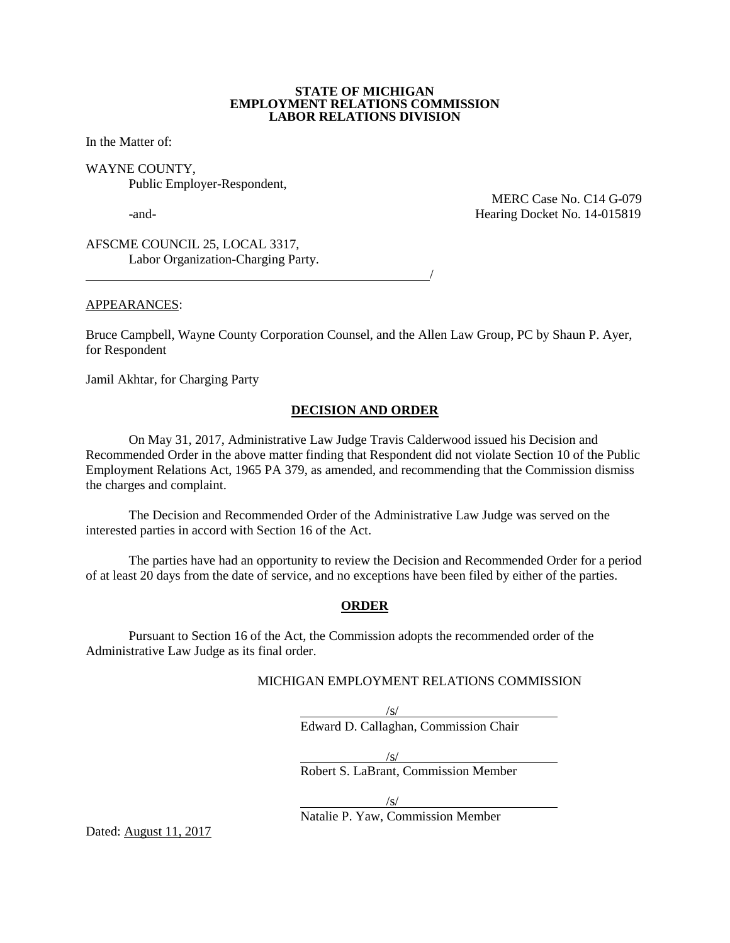#### **STATE OF MICHIGAN EMPLOYMENT RELATIONS COMMISSION LABOR RELATIONS DIVISION**

In the Matter of:

WAYNE COUNTY, Public Employer-Respondent,

 MERC Case No. C14 G-079 -and- Hearing Docket No. 14-015819

AFSCME COUNCIL 25, LOCAL 3317, Labor Organization-Charging Party.

<u>/</u>

APPEARANCES:

Bruce Campbell, Wayne County Corporation Counsel, and the Allen Law Group, PC by Shaun P. Ayer, for Respondent

Jamil Akhtar, for Charging Party

#### **DECISION AND ORDER**

On May 31, 2017, Administrative Law Judge Travis Calderwood issued his Decision and Recommended Order in the above matter finding that Respondent did not violate Section 10 of the Public Employment Relations Act, 1965 PA 379, as amended, and recommending that the Commission dismiss the charges and complaint.

The Decision and Recommended Order of the Administrative Law Judge was served on the interested parties in accord with Section 16 of the Act.

The parties have had an opportunity to review the Decision and Recommended Order for a period of at least 20 days from the date of service, and no exceptions have been filed by either of the parties.

#### **ORDER**

Pursuant to Section 16 of the Act, the Commission adopts the recommended order of the Administrative Law Judge as its final order.

## MICHIGAN EMPLOYMENT RELATIONS COMMISSION

/s/ Edward D. Callaghan, Commission Chair

/s/

Robert S. LaBrant, Commission Member

/s/

Natalie P. Yaw, Commission Member

Dated: August 11, 2017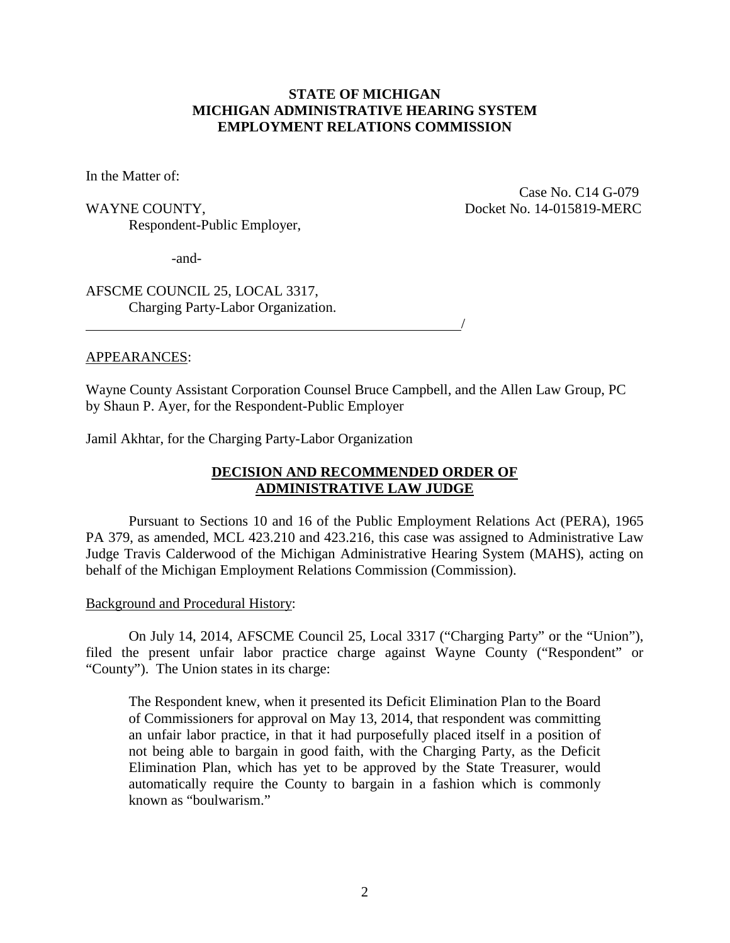# **STATE OF MICHIGAN MICHIGAN ADMINISTRATIVE HEARING SYSTEM EMPLOYMENT RELATIONS COMMISSION**

In the Matter of:

Respondent-Public Employer,

 Case No. C14 G-079 WAYNE COUNTY, SALE COUNTY, The COUNTY, The COUNTY, The COUNTY, The COUNTY, The COUNTY, The COUNTY, The COUNTY,

-and-

AFSCME COUNCIL 25, LOCAL 3317, Charging Party-Labor Organization.

#### APPEARANCES:

Wayne County Assistant Corporation Counsel Bruce Campbell, and the Allen Law Group, PC by Shaun P. Ayer, for the Respondent-Public Employer

Jamil Akhtar, for the Charging Party-Labor Organization

<u>/</u>

# **DECISION AND RECOMMENDED ORDER OF ADMINISTRATIVE LAW JUDGE**

Pursuant to Sections 10 and 16 of the Public Employment Relations Act (PERA), 1965 PA 379, as amended, MCL 423.210 and 423.216, this case was assigned to Administrative Law Judge Travis Calderwood of the Michigan Administrative Hearing System (MAHS), acting on behalf of the Michigan Employment Relations Commission (Commission).

#### Background and Procedural History:

On July 14, 2014, AFSCME Council 25, Local 3317 ("Charging Party" or the "Union"), filed the present unfair labor practice charge against Wayne County ("Respondent" or "County"). The Union states in its charge:

The Respondent knew, when it presented its Deficit Elimination Plan to the Board of Commissioners for approval on May 13, 2014, that respondent was committing an unfair labor practice, in that it had purposefully placed itself in a position of not being able to bargain in good faith, with the Charging Party, as the Deficit Elimination Plan, which has yet to be approved by the State Treasurer, would automatically require the County to bargain in a fashion which is commonly known as "boulwarism."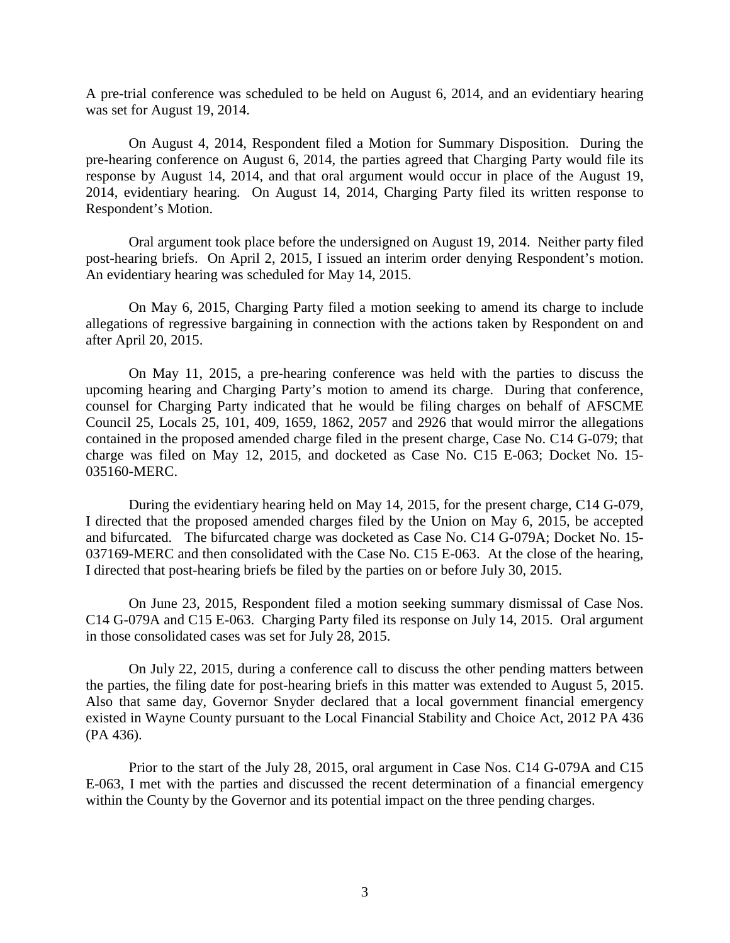A pre-trial conference was scheduled to be held on August 6, 2014, and an evidentiary hearing was set for August 19, 2014.

On August 4, 2014, Respondent filed a Motion for Summary Disposition. During the pre-hearing conference on August 6, 2014, the parties agreed that Charging Party would file its response by August 14, 2014, and that oral argument would occur in place of the August 19, 2014, evidentiary hearing. On August 14, 2014, Charging Party filed its written response to Respondent's Motion.

Oral argument took place before the undersigned on August 19, 2014. Neither party filed post-hearing briefs. On April 2, 2015, I issued an interim order denying Respondent's motion. An evidentiary hearing was scheduled for May 14, 2015.

On May 6, 2015, Charging Party filed a motion seeking to amend its charge to include allegations of regressive bargaining in connection with the actions taken by Respondent on and after April 20, 2015.

On May 11, 2015, a pre-hearing conference was held with the parties to discuss the upcoming hearing and Charging Party's motion to amend its charge. During that conference, counsel for Charging Party indicated that he would be filing charges on behalf of AFSCME Council 25, Locals 25, 101, 409, 1659, 1862, 2057 and 2926 that would mirror the allegations contained in the proposed amended charge filed in the present charge, Case No. C14 G-079; that charge was filed on May 12, 2015, and docketed as Case No. C15 E-063; Docket No. 15- 035160-MERC.

During the evidentiary hearing held on May 14, 2015, for the present charge, C14 G-079, I directed that the proposed amended charges filed by the Union on May 6, 2015, be accepted and bifurcated. The bifurcated charge was docketed as Case No. C14 G-079A; Docket No. 15- 037169-MERC and then consolidated with the Case No. C15 E-063. At the close of the hearing, I directed that post-hearing briefs be filed by the parties on or before July 30, 2015.

On June 23, 2015, Respondent filed a motion seeking summary dismissal of Case Nos. C14 G-079A and C15 E-063. Charging Party filed its response on July 14, 2015. Oral argument in those consolidated cases was set for July 28, 2015.

On July 22, 2015, during a conference call to discuss the other pending matters between the parties, the filing date for post-hearing briefs in this matter was extended to August 5, 2015. Also that same day, Governor Snyder declared that a local government financial emergency existed in Wayne County pursuant to the Local Financial Stability and Choice Act, 2012 PA 436 (PA 436).

Prior to the start of the July 28, 2015, oral argument in Case Nos. C14 G-079A and C15 E-063, I met with the parties and discussed the recent determination of a financial emergency within the County by the Governor and its potential impact on the three pending charges.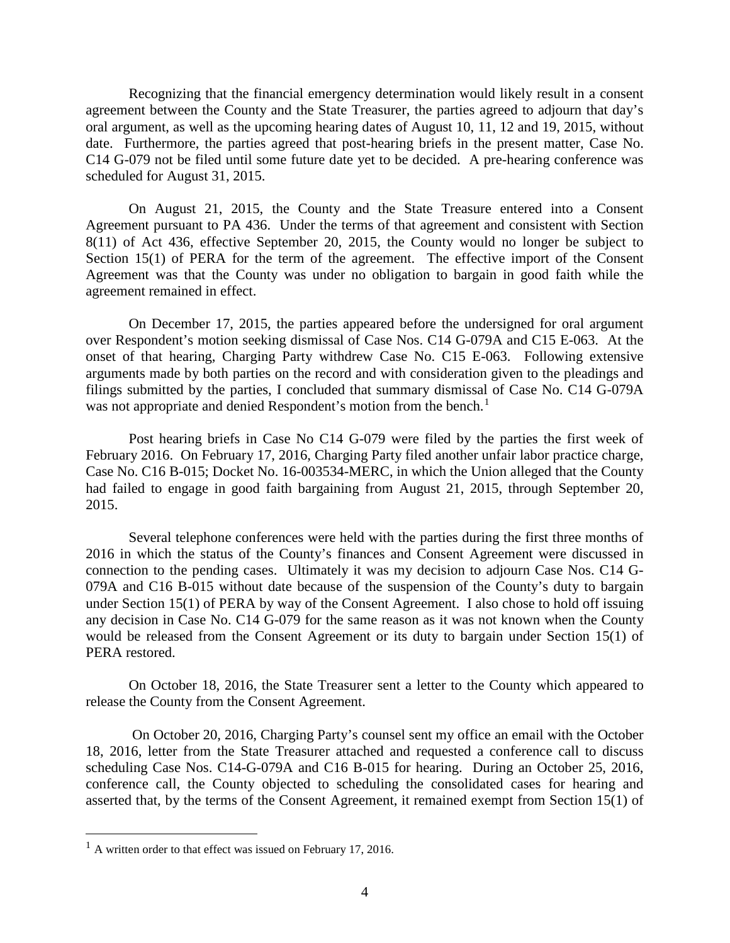Recognizing that the financial emergency determination would likely result in a consent agreement between the County and the State Treasurer, the parties agreed to adjourn that day's oral argument, as well as the upcoming hearing dates of August 10, 11, 12 and 19, 2015, without date. Furthermore, the parties agreed that post-hearing briefs in the present matter, Case No. C14 G-079 not be filed until some future date yet to be decided. A pre-hearing conference was scheduled for August 31, 2015.

On August 21, 2015, the County and the State Treasure entered into a Consent Agreement pursuant to PA 436. Under the terms of that agreement and consistent with Section 8(11) of Act 436, effective September 20, 2015, the County would no longer be subject to Section 15(1) of PERA for the term of the agreement. The effective import of the Consent Agreement was that the County was under no obligation to bargain in good faith while the agreement remained in effect.

On December 17, 2015, the parties appeared before the undersigned for oral argument over Respondent's motion seeking dismissal of Case Nos. C14 G-079A and C15 E-063. At the onset of that hearing, Charging Party withdrew Case No. C15 E-063. Following extensive arguments made by both parties on the record and with consideration given to the pleadings and filings submitted by the parties, I concluded that summary dismissal of Case No. C14 G-079A was not appropriate and denied Respondent's motion from the bench.<sup>[1](#page-3-0)</sup>

Post hearing briefs in Case No C14 G-079 were filed by the parties the first week of February 2016. On February 17, 2016, Charging Party filed another unfair labor practice charge, Case No. C16 B-015; Docket No. 16-003534-MERC, in which the Union alleged that the County had failed to engage in good faith bargaining from August 21, 2015, through September 20, 2015.

Several telephone conferences were held with the parties during the first three months of 2016 in which the status of the County's finances and Consent Agreement were discussed in connection to the pending cases. Ultimately it was my decision to adjourn Case Nos. C14 G-079A and C16 B-015 without date because of the suspension of the County's duty to bargain under Section 15(1) of PERA by way of the Consent Agreement. I also chose to hold off issuing any decision in Case No. C14 G-079 for the same reason as it was not known when the County would be released from the Consent Agreement or its duty to bargain under Section 15(1) of PERA restored.

On October 18, 2016, the State Treasurer sent a letter to the County which appeared to release the County from the Consent Agreement.

On October 20, 2016, Charging Party's counsel sent my office an email with the October 18, 2016, letter from the State Treasurer attached and requested a conference call to discuss scheduling Case Nos. C14-G-079A and C16 B-015 for hearing. During an October 25, 2016, conference call, the County objected to scheduling the consolidated cases for hearing and asserted that, by the terms of the Consent Agreement, it remained exempt from Section 15(1) of

<span id="page-3-0"></span> $<sup>1</sup>$  A written order to that effect was issued on February 17, 2016.</sup>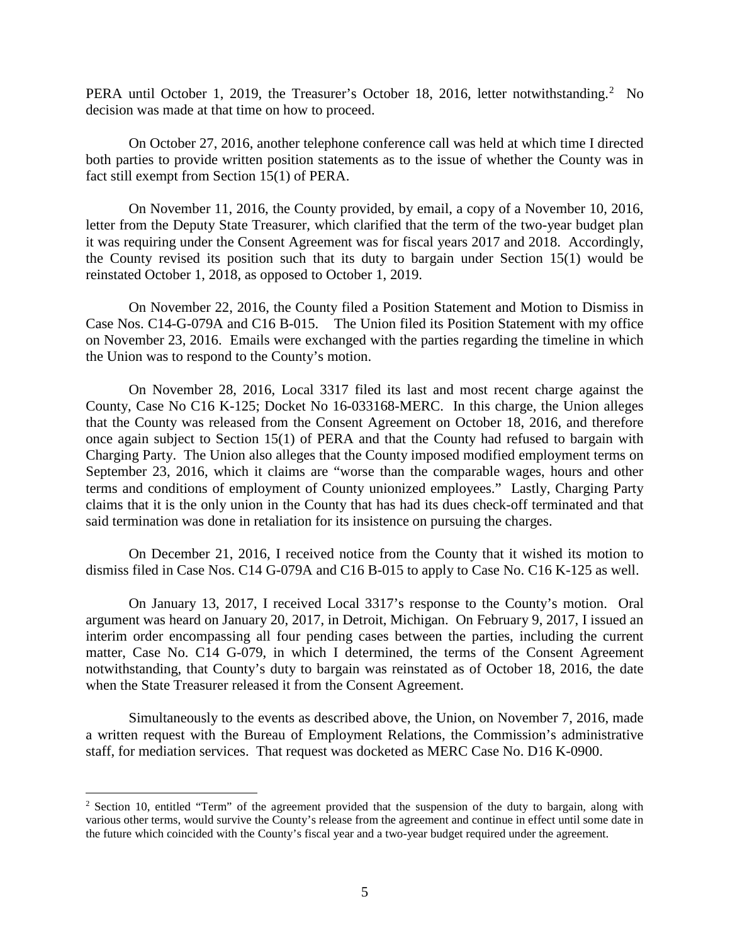PERA until October 1, [2](#page-4-0)019, the Treasurer's October 18, 2016, letter notwithstanding.<sup>2</sup> No decision was made at that time on how to proceed.

On October 27, 2016, another telephone conference call was held at which time I directed both parties to provide written position statements as to the issue of whether the County was in fact still exempt from Section 15(1) of PERA.

On November 11, 2016, the County provided, by email, a copy of a November 10, 2016, letter from the Deputy State Treasurer, which clarified that the term of the two-year budget plan it was requiring under the Consent Agreement was for fiscal years 2017 and 2018. Accordingly, the County revised its position such that its duty to bargain under Section 15(1) would be reinstated October 1, 2018, as opposed to October 1, 2019.

On November 22, 2016, the County filed a Position Statement and Motion to Dismiss in Case Nos. C14-G-079A and C16 B-015. The Union filed its Position Statement with my office on November 23, 2016. Emails were exchanged with the parties regarding the timeline in which the Union was to respond to the County's motion.

On November 28, 2016, Local 3317 filed its last and most recent charge against the County, Case No C16 K-125; Docket No 16-033168-MERC. In this charge, the Union alleges that the County was released from the Consent Agreement on October 18, 2016, and therefore once again subject to Section 15(1) of PERA and that the County had refused to bargain with Charging Party. The Union also alleges that the County imposed modified employment terms on September 23, 2016, which it claims are "worse than the comparable wages, hours and other terms and conditions of employment of County unionized employees." Lastly, Charging Party claims that it is the only union in the County that has had its dues check-off terminated and that said termination was done in retaliation for its insistence on pursuing the charges.

On December 21, 2016, I received notice from the County that it wished its motion to dismiss filed in Case Nos. C14 G-079A and C16 B-015 to apply to Case No. C16 K-125 as well.

On January 13, 2017, I received Local 3317's response to the County's motion. Oral argument was heard on January 20, 2017, in Detroit, Michigan. On February 9, 2017, I issued an interim order encompassing all four pending cases between the parties, including the current matter, Case No. C14 G-079, in which I determined, the terms of the Consent Agreement notwithstanding, that County's duty to bargain was reinstated as of October 18, 2016, the date when the State Treasurer released it from the Consent Agreement.

Simultaneously to the events as described above, the Union, on November 7, 2016, made a written request with the Bureau of Employment Relations, the Commission's administrative staff, for mediation services. That request was docketed as MERC Case No. D16 K-0900.

<span id="page-4-0"></span><sup>&</sup>lt;sup>2</sup> Section 10, entitled "Term" of the agreement provided that the suspension of the duty to bargain, along with various other terms, would survive the County's release from the agreement and continue in effect until some date in the future which coincided with the County's fiscal year and a two-year budget required under the agreement.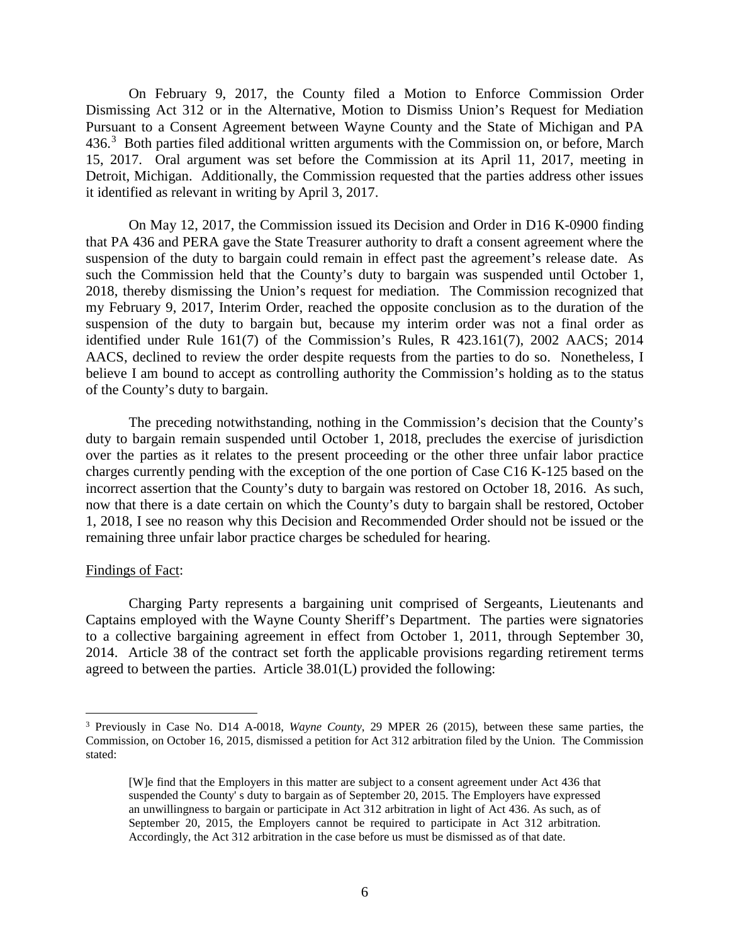On February 9, 2017, the County filed a Motion to Enforce Commission Order Dismissing Act 312 or in the Alternative, Motion to Dismiss Union's Request for Mediation Pursuant to a Consent Agreement between Wayne County and the State of Michigan and PA 4[3](#page-5-0)6.<sup>3</sup> Both parties filed additional written arguments with the Commission on, or before, March 15, 2017. Oral argument was set before the Commission at its April 11, 2017, meeting in Detroit, Michigan. Additionally, the Commission requested that the parties address other issues it identified as relevant in writing by April 3, 2017.

On May 12, 2017, the Commission issued its Decision and Order in D16 K-0900 finding that PA 436 and PERA gave the State Treasurer authority to draft a consent agreement where the suspension of the duty to bargain could remain in effect past the agreement's release date. As such the Commission held that the County's duty to bargain was suspended until October 1, 2018, thereby dismissing the Union's request for mediation. The Commission recognized that my February 9, 2017, Interim Order, reached the opposite conclusion as to the duration of the suspension of the duty to bargain but, because my interim order was not a final order as identified under Rule 161(7) of the Commission's Rules, R 423.161(7), 2002 AACS; 2014 AACS, declined to review the order despite requests from the parties to do so. Nonetheless, I believe I am bound to accept as controlling authority the Commission's holding as to the status of the County's duty to bargain.

The preceding notwithstanding, nothing in the Commission's decision that the County's duty to bargain remain suspended until October 1, 2018, precludes the exercise of jurisdiction over the parties as it relates to the present proceeding or the other three unfair labor practice charges currently pending with the exception of the one portion of Case C16 K-125 based on the incorrect assertion that the County's duty to bargain was restored on October 18, 2016. As such, now that there is a date certain on which the County's duty to bargain shall be restored, October 1, 2018, I see no reason why this Decision and Recommended Order should not be issued or the remaining three unfair labor practice charges be scheduled for hearing.

## Findings of Fact:

Charging Party represents a bargaining unit comprised of Sergeants, Lieutenants and Captains employed with the Wayne County Sheriff's Department. The parties were signatories to a collective bargaining agreement in effect from October 1, 2011, through September 30, 2014. Article 38 of the contract set forth the applicable provisions regarding retirement terms agreed to between the parties. Article 38.01(L) provided the following:

<span id="page-5-0"></span> <sup>3</sup> Previously in Case No. D14 A-0018, *Wayne County*, 29 MPER 26 (2015), between these same parties, the Commission, on October 16, 2015, dismissed a petition for Act 312 arbitration filed by the Union. The Commission stated:

<sup>[</sup>W]e find that the Employers in this matter are subject to a consent agreement under Act 436 that suspended the County' s duty to bargain as of September 20, 2015. The Employers have expressed an unwillingness to bargain or participate in Act 312 arbitration in light of Act 436. As such, as of September 20, 2015, the Employers cannot be required to participate in Act 312 arbitration. Accordingly, the Act 312 arbitration in the case before us must be dismissed as of that date.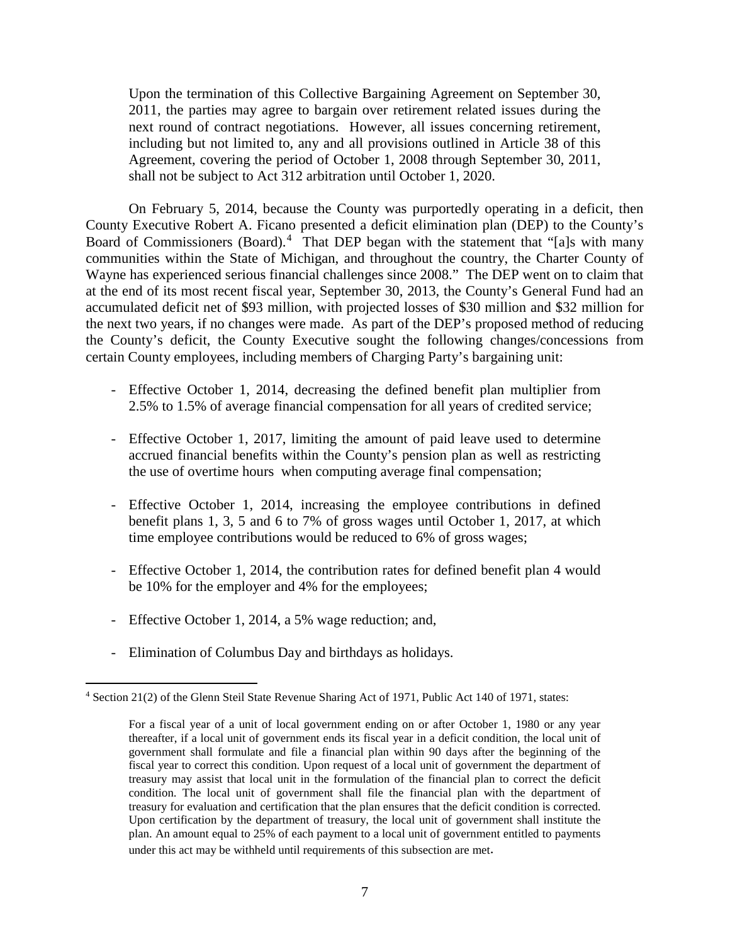Upon the termination of this Collective Bargaining Agreement on September 30, 2011, the parties may agree to bargain over retirement related issues during the next round of contract negotiations. However, all issues concerning retirement, including but not limited to, any and all provisions outlined in Article 38 of this Agreement, covering the period of October 1, 2008 through September 30, 2011, shall not be subject to Act 312 arbitration until October 1, 2020.

On February 5, 2014, because the County was purportedly operating in a deficit, then County Executive Robert A. Ficano presented a deficit elimination plan (DEP) to the County's Board of Commissioners (Board).<sup>[4](#page-6-0)</sup> That DEP began with the statement that "[a]s with many communities within the State of Michigan, and throughout the country, the Charter County of Wayne has experienced serious financial challenges since 2008." The DEP went on to claim that at the end of its most recent fiscal year, September 30, 2013, the County's General Fund had an accumulated deficit net of \$93 million, with projected losses of \$30 million and \$32 million for the next two years, if no changes were made. As part of the DEP's proposed method of reducing the County's deficit, the County Executive sought the following changes/concessions from certain County employees, including members of Charging Party's bargaining unit:

- Effective October 1, 2014, decreasing the defined benefit plan multiplier from 2.5% to 1.5% of average financial compensation for all years of credited service;
- Effective October 1, 2017, limiting the amount of paid leave used to determine accrued financial benefits within the County's pension plan as well as restricting the use of overtime hours when computing average final compensation;
- Effective October 1, 2014, increasing the employee contributions in defined benefit plans 1, 3, 5 and 6 to 7% of gross wages until October 1, 2017, at which time employee contributions would be reduced to 6% of gross wages;
- Effective October 1, 2014, the contribution rates for defined benefit plan 4 would be 10% for the employer and 4% for the employees;
- Effective October 1, 2014, a 5% wage reduction; and,
- Elimination of Columbus Day and birthdays as holidays.

<span id="page-6-0"></span> <sup>4</sup> Section 21(2) of the Glenn Steil State Revenue Sharing Act of 1971, Public Act 140 of 1971, states:

For a fiscal year of a unit of local government ending on or after October 1, 1980 or any year thereafter, if a local unit of government ends its fiscal year in a deficit condition, the local unit of government shall formulate and file a financial plan within 90 days after the beginning of the fiscal year to correct this condition. Upon request of a local unit of government the department of treasury may assist that local unit in the formulation of the financial plan to correct the deficit condition. The local unit of government shall file the financial plan with the department of treasury for evaluation and certification that the plan ensures that the deficit condition is corrected. Upon certification by the department of treasury, the local unit of government shall institute the plan. An amount equal to 25% of each payment to a local unit of government entitled to payments under this act may be withheld until requirements of this subsection are met.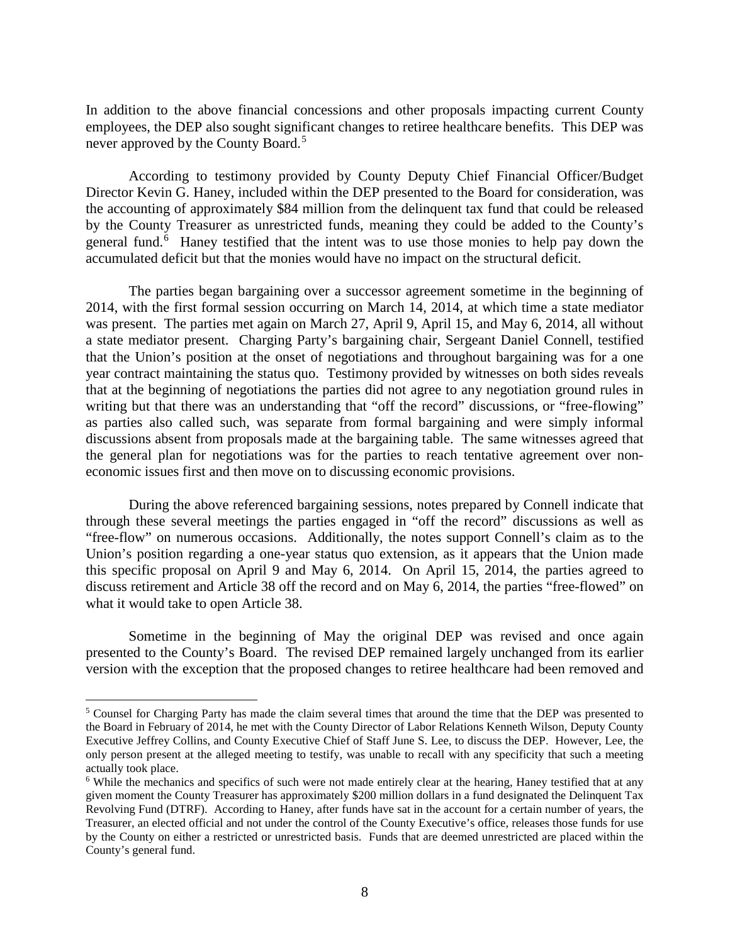In addition to the above financial concessions and other proposals impacting current County employees, the DEP also sought significant changes to retiree healthcare benefits. This DEP was never approved by the County Board.<sup>[5](#page-7-0)</sup>

According to testimony provided by County Deputy Chief Financial Officer/Budget Director Kevin G. Haney, included within the DEP presented to the Board for consideration, was the accounting of approximately \$84 million from the delinquent tax fund that could be released by the County Treasurer as unrestricted funds, meaning they could be added to the County's general fund.<sup>[6](#page-7-1)</sup> Haney testified that the intent was to use those monies to help pay down the accumulated deficit but that the monies would have no impact on the structural deficit.

The parties began bargaining over a successor agreement sometime in the beginning of 2014, with the first formal session occurring on March 14, 2014, at which time a state mediator was present. The parties met again on March 27, April 9, April 15, and May 6, 2014, all without a state mediator present. Charging Party's bargaining chair, Sergeant Daniel Connell, testified that the Union's position at the onset of negotiations and throughout bargaining was for a one year contract maintaining the status quo. Testimony provided by witnesses on both sides reveals that at the beginning of negotiations the parties did not agree to any negotiation ground rules in writing but that there was an understanding that "off the record" discussions, or "free-flowing" as parties also called such, was separate from formal bargaining and were simply informal discussions absent from proposals made at the bargaining table. The same witnesses agreed that the general plan for negotiations was for the parties to reach tentative agreement over noneconomic issues first and then move on to discussing economic provisions.

During the above referenced bargaining sessions, notes prepared by Connell indicate that through these several meetings the parties engaged in "off the record" discussions as well as "free-flow" on numerous occasions. Additionally, the notes support Connell's claim as to the Union's position regarding a one-year status quo extension, as it appears that the Union made this specific proposal on April 9 and May 6, 2014. On April 15, 2014, the parties agreed to discuss retirement and Article 38 off the record and on May 6, 2014, the parties "free-flowed" on what it would take to open Article 38.

Sometime in the beginning of May the original DEP was revised and once again presented to the County's Board. The revised DEP remained largely unchanged from its earlier version with the exception that the proposed changes to retiree healthcare had been removed and

<span id="page-7-0"></span><sup>&</sup>lt;sup>5</sup> Counsel for Charging Party has made the claim several times that around the time that the DEP was presented to the Board in February of 2014, he met with the County Director of Labor Relations Kenneth Wilson, Deputy County Executive Jeffrey Collins, and County Executive Chief of Staff June S. Lee, to discuss the DEP. However, Lee, the only person present at the alleged meeting to testify, was unable to recall with any specificity that such a meeting actually took place.<br><sup>6</sup> While the mechanics and specifics of such were not made entirely clear at the hearing, Haney testified that at any

<span id="page-7-1"></span>given moment the County Treasurer has approximately \$200 million dollars in a fund designated the Delinquent Tax Revolving Fund (DTRF). According to Haney, after funds have sat in the account for a certain number of years, the Treasurer, an elected official and not under the control of the County Executive's office, releases those funds for use by the County on either a restricted or unrestricted basis. Funds that are deemed unrestricted are placed within the County's general fund.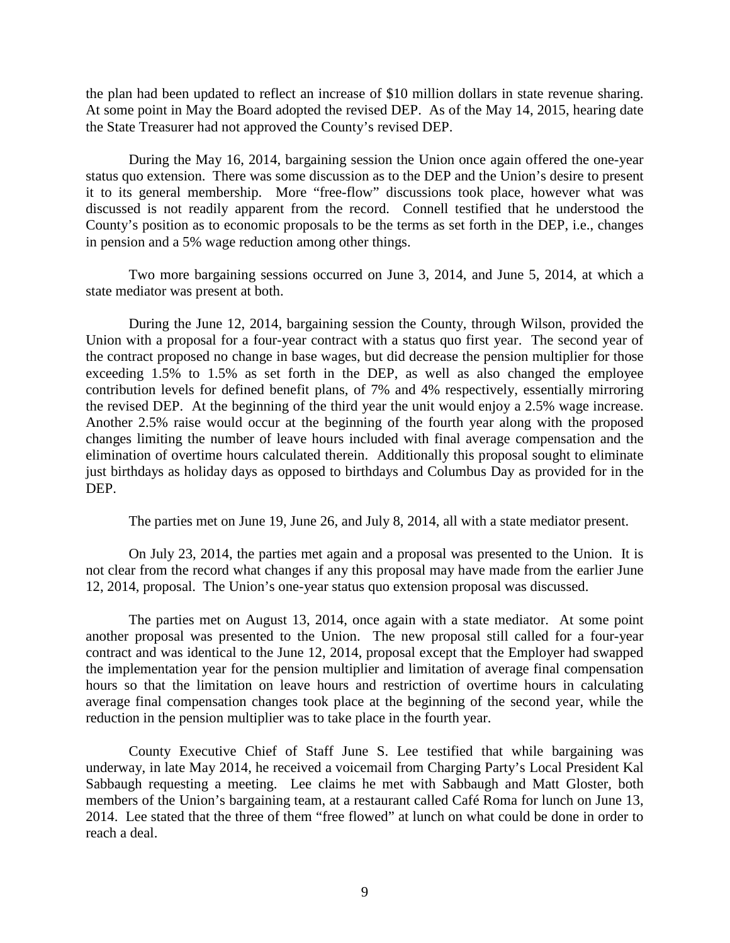the plan had been updated to reflect an increase of \$10 million dollars in state revenue sharing. At some point in May the Board adopted the revised DEP. As of the May 14, 2015, hearing date the State Treasurer had not approved the County's revised DEP.

During the May 16, 2014, bargaining session the Union once again offered the one-year status quo extension. There was some discussion as to the DEP and the Union's desire to present it to its general membership. More "free-flow" discussions took place, however what was discussed is not readily apparent from the record. Connell testified that he understood the County's position as to economic proposals to be the terms as set forth in the DEP, i.e., changes in pension and a 5% wage reduction among other things.

Two more bargaining sessions occurred on June 3, 2014, and June 5, 2014, at which a state mediator was present at both.

During the June 12, 2014, bargaining session the County, through Wilson, provided the Union with a proposal for a four-year contract with a status quo first year. The second year of the contract proposed no change in base wages, but did decrease the pension multiplier for those exceeding 1.5% to 1.5% as set forth in the DEP, as well as also changed the employee contribution levels for defined benefit plans, of 7% and 4% respectively, essentially mirroring the revised DEP. At the beginning of the third year the unit would enjoy a 2.5% wage increase. Another 2.5% raise would occur at the beginning of the fourth year along with the proposed changes limiting the number of leave hours included with final average compensation and the elimination of overtime hours calculated therein. Additionally this proposal sought to eliminate just birthdays as holiday days as opposed to birthdays and Columbus Day as provided for in the DEP.

The parties met on June 19, June 26, and July 8, 2014, all with a state mediator present.

On July 23, 2014, the parties met again and a proposal was presented to the Union. It is not clear from the record what changes if any this proposal may have made from the earlier June 12, 2014, proposal. The Union's one-year status quo extension proposal was discussed.

The parties met on August 13, 2014, once again with a state mediator. At some point another proposal was presented to the Union. The new proposal still called for a four-year contract and was identical to the June 12, 2014, proposal except that the Employer had swapped the implementation year for the pension multiplier and limitation of average final compensation hours so that the limitation on leave hours and restriction of overtime hours in calculating average final compensation changes took place at the beginning of the second year, while the reduction in the pension multiplier was to take place in the fourth year.

County Executive Chief of Staff June S. Lee testified that while bargaining was underway, in late May 2014, he received a voicemail from Charging Party's Local President Kal Sabbaugh requesting a meeting. Lee claims he met with Sabbaugh and Matt Gloster, both members of the Union's bargaining team, at a restaurant called Café Roma for lunch on June 13, 2014. Lee stated that the three of them "free flowed" at lunch on what could be done in order to reach a deal.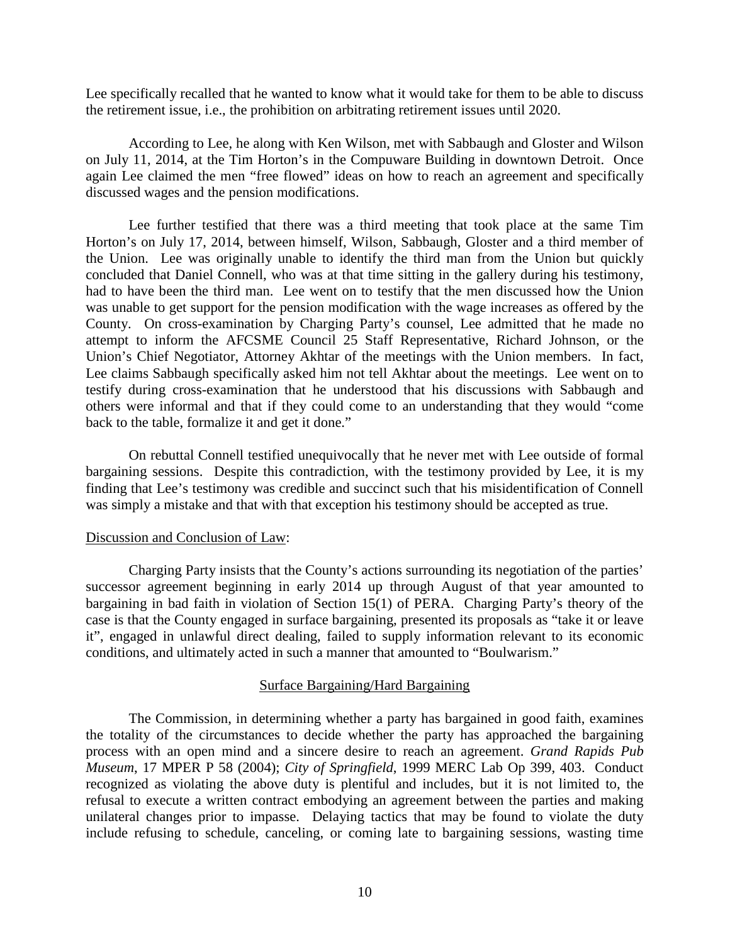Lee specifically recalled that he wanted to know what it would take for them to be able to discuss the retirement issue, i.e., the prohibition on arbitrating retirement issues until 2020.

According to Lee, he along with Ken Wilson, met with Sabbaugh and Gloster and Wilson on July 11, 2014, at the Tim Horton's in the Compuware Building in downtown Detroit. Once again Lee claimed the men "free flowed" ideas on how to reach an agreement and specifically discussed wages and the pension modifications.

Lee further testified that there was a third meeting that took place at the same Tim Horton's on July 17, 2014, between himself, Wilson, Sabbaugh, Gloster and a third member of the Union. Lee was originally unable to identify the third man from the Union but quickly concluded that Daniel Connell, who was at that time sitting in the gallery during his testimony, had to have been the third man. Lee went on to testify that the men discussed how the Union was unable to get support for the pension modification with the wage increases as offered by the County. On cross-examination by Charging Party's counsel, Lee admitted that he made no attempt to inform the AFCSME Council 25 Staff Representative, Richard Johnson, or the Union's Chief Negotiator, Attorney Akhtar of the meetings with the Union members. In fact, Lee claims Sabbaugh specifically asked him not tell Akhtar about the meetings. Lee went on to testify during cross-examination that he understood that his discussions with Sabbaugh and others were informal and that if they could come to an understanding that they would "come back to the table, formalize it and get it done."

On rebuttal Connell testified unequivocally that he never met with Lee outside of formal bargaining sessions. Despite this contradiction, with the testimony provided by Lee, it is my finding that Lee's testimony was credible and succinct such that his misidentification of Connell was simply a mistake and that with that exception his testimony should be accepted as true.

#### Discussion and Conclusion of Law:

Charging Party insists that the County's actions surrounding its negotiation of the parties' successor agreement beginning in early 2014 up through August of that year amounted to bargaining in bad faith in violation of Section 15(1) of PERA. Charging Party's theory of the case is that the County engaged in surface bargaining, presented its proposals as "take it or leave it", engaged in unlawful direct dealing, failed to supply information relevant to its economic conditions, and ultimately acted in such a manner that amounted to "Boulwarism."

## Surface Bargaining/Hard Bargaining

The Commission, in determining whether a party has bargained in good faith, examines the totality of the circumstances to decide whether the party has approached the bargaining process with an open mind and a sincere desire to reach an agreement. *Grand Rapids Pub Museum*, 17 MPER P 58 (2004); *City of Springfield*, 1999 MERC Lab Op 399, 403. Conduct recognized as violating the above duty is plentiful and includes, but it is not limited to, the refusal to execute a written contract embodying an agreement between the parties and making unilateral changes prior to impasse. Delaying tactics that may be found to violate the duty include refusing to schedule, canceling, or coming late to bargaining sessions, wasting time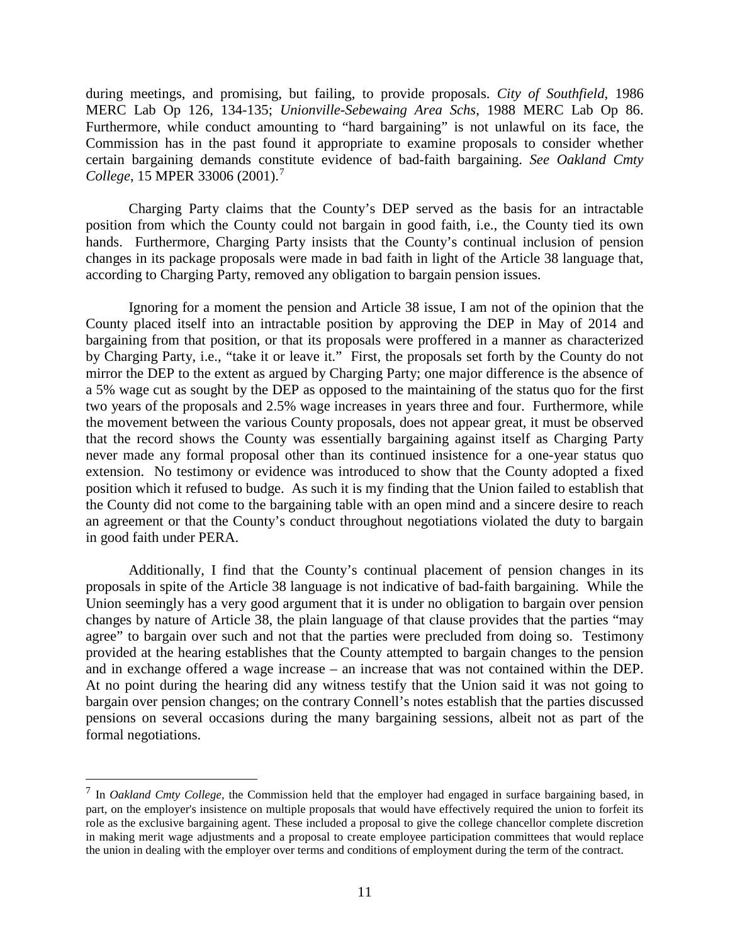during meetings, and promising, but failing, to provide proposals. *City of Southfield*, 1986 MERC Lab Op 126, 134-135; *Unionville-Sebewaing Area Schs*, 1988 MERC Lab Op 86. Furthermore, while conduct amounting to "hard bargaining" is not unlawful on its face, the Commission has in the past found it appropriate to examine proposals to consider whether certain bargaining demands constitute evidence of bad-faith bargaining. *See Oakland Cmty College*, 15 MPER 33006 (2001).[7](#page-10-0)

Charging Party claims that the County's DEP served as the basis for an intractable position from which the County could not bargain in good faith, i.e., the County tied its own hands. Furthermore, Charging Party insists that the County's continual inclusion of pension changes in its package proposals were made in bad faith in light of the Article 38 language that, according to Charging Party, removed any obligation to bargain pension issues.

Ignoring for a moment the pension and Article 38 issue, I am not of the opinion that the County placed itself into an intractable position by approving the DEP in May of 2014 and bargaining from that position, or that its proposals were proffered in a manner as characterized by Charging Party, i.e., "take it or leave it." First, the proposals set forth by the County do not mirror the DEP to the extent as argued by Charging Party; one major difference is the absence of a 5% wage cut as sought by the DEP as opposed to the maintaining of the status quo for the first two years of the proposals and 2.5% wage increases in years three and four. Furthermore, while the movement between the various County proposals, does not appear great, it must be observed that the record shows the County was essentially bargaining against itself as Charging Party never made any formal proposal other than its continued insistence for a one-year status quo extension. No testimony or evidence was introduced to show that the County adopted a fixed position which it refused to budge. As such it is my finding that the Union failed to establish that the County did not come to the bargaining table with an open mind and a sincere desire to reach an agreement or that the County's conduct throughout negotiations violated the duty to bargain in good faith under PERA.

Additionally, I find that the County's continual placement of pension changes in its proposals in spite of the Article 38 language is not indicative of bad-faith bargaining. While the Union seemingly has a very good argument that it is under no obligation to bargain over pension changes by nature of Article 38, the plain language of that clause provides that the parties "may agree" to bargain over such and not that the parties were precluded from doing so. Testimony provided at the hearing establishes that the County attempted to bargain changes to the pension and in exchange offered a wage increase – an increase that was not contained within the DEP. At no point during the hearing did any witness testify that the Union said it was not going to bargain over pension changes; on the contrary Connell's notes establish that the parties discussed pensions on several occasions during the many bargaining sessions, albeit not as part of the formal negotiations.

<span id="page-10-0"></span> <sup>7</sup> In *Oakland Cmty College*, the Commission held that the employer had engaged in surface bargaining based, in part, on the employer's insistence on multiple proposals that would have effectively required the union to forfeit its role as the exclusive bargaining agent. These included a proposal to give the college chancellor complete discretion in making merit wage adjustments and a proposal to create employee participation committees that would replace the union in dealing with the employer over terms and conditions of employment during the term of the contract.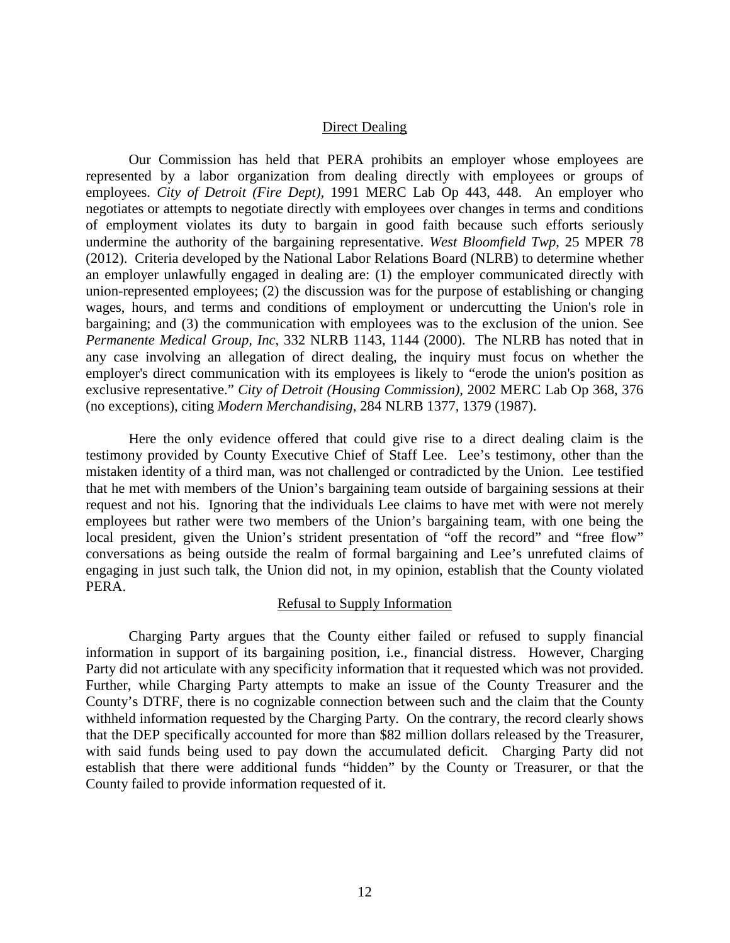## Direct Dealing

Our Commission has held that PERA prohibits an employer whose employees are represented by a labor organization from dealing directly with employees or groups of employees. *City of Detroit (Fire Dept),* 1991 MERC Lab Op 443, 448. An employer who negotiates or attempts to negotiate directly with employees over changes in terms and conditions of employment violates its duty to bargain in good faith because such efforts seriously undermine the authority of the bargaining representative. *West Bloomfield Twp*, 25 MPER 78 (2012). Criteria developed by the National Labor Relations Board (NLRB) to determine whether an employer unlawfully engaged in dealing are: (1) the employer communicated directly with union-represented employees; (2) the discussion was for the purpose of establishing or changing wages, hours, and terms and conditions of employment or undercutting the Union's role in bargaining; and (3) the communication with employees was to the exclusion of the union. See *Permanente Medical Group, Inc*, 332 NLRB 1143, 1144 (2000). The NLRB has noted that in any case involving an allegation of direct dealing, the inquiry must focus on whether the employer's direct communication with its employees is likely to "erode the union's position as exclusive representative." *City of Detroit (Housing Commission),* 2002 MERC Lab Op 368, 376 (no exceptions), citing *Modern Merchandising*, 284 NLRB 1377, 1379 (1987).

Here the only evidence offered that could give rise to a direct dealing claim is the testimony provided by County Executive Chief of Staff Lee. Lee's testimony, other than the mistaken identity of a third man, was not challenged or contradicted by the Union. Lee testified that he met with members of the Union's bargaining team outside of bargaining sessions at their request and not his. Ignoring that the individuals Lee claims to have met with were not merely employees but rather were two members of the Union's bargaining team, with one being the local president, given the Union's strident presentation of "off the record" and "free flow" conversations as being outside the realm of formal bargaining and Lee's unrefuted claims of engaging in just such talk, the Union did not, in my opinion, establish that the County violated PERA.

## Refusal to Supply Information

Charging Party argues that the County either failed or refused to supply financial information in support of its bargaining position, i.e., financial distress. However, Charging Party did not articulate with any specificity information that it requested which was not provided. Further, while Charging Party attempts to make an issue of the County Treasurer and the County's DTRF, there is no cognizable connection between such and the claim that the County withheld information requested by the Charging Party. On the contrary, the record clearly shows that the DEP specifically accounted for more than \$82 million dollars released by the Treasurer, with said funds being used to pay down the accumulated deficit. Charging Party did not establish that there were additional funds "hidden" by the County or Treasurer, or that the County failed to provide information requested of it.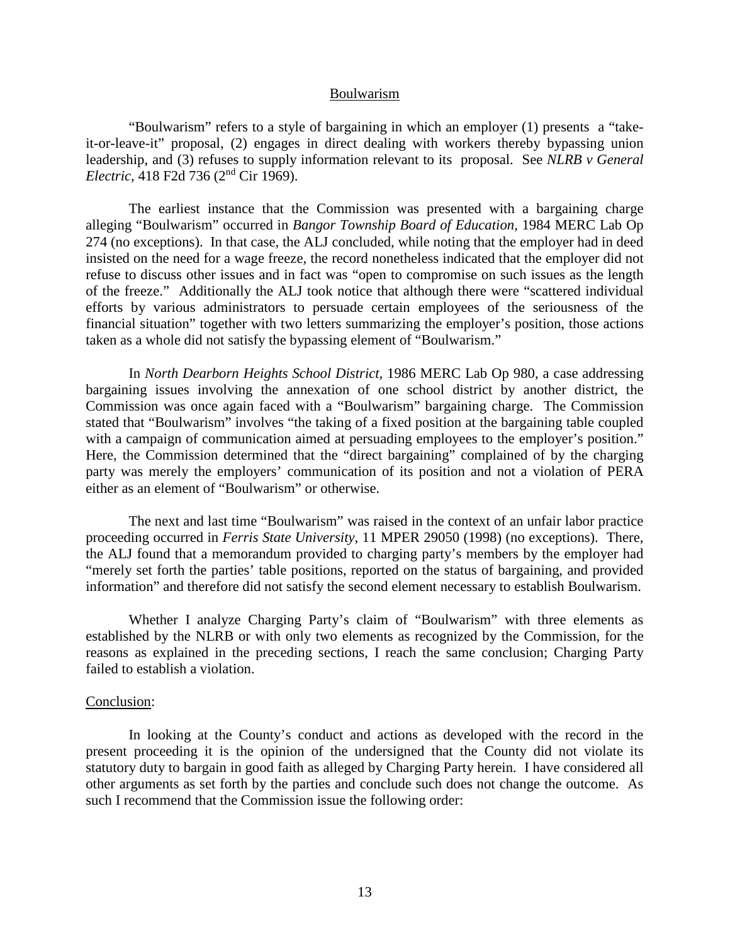#### Boulwarism

"Boulwarism" refers to a style of bargaining in which an employer (1) presents a "takeit-or-leave-it" proposal, (2) engages in direct dealing with workers thereby bypassing union leadership, and (3) refuses to supply information relevant to its proposal. See *NLRB v General Electric,* 418 F2d 736 (2nd Cir 1969).

The earliest instance that the Commission was presented with a bargaining charge alleging "Boulwarism" occurred in *Bangor Township Board of Education,* 1984 MERC Lab Op 274 (no exceptions). In that case, the ALJ concluded, while noting that the employer had in deed insisted on the need for a wage freeze, the record nonetheless indicated that the employer did not refuse to discuss other issues and in fact was "open to compromise on such issues as the length of the freeze." Additionally the ALJ took notice that although there were "scattered individual efforts by various administrators to persuade certain employees of the seriousness of the financial situation" together with two letters summarizing the employer's position, those actions taken as a whole did not satisfy the bypassing element of "Boulwarism."

In *North Dearborn Heights School District,* 1986 MERC Lab Op 980, a case addressing bargaining issues involving the annexation of one school district by another district, the Commission was once again faced with a "Boulwarism" bargaining charge. The Commission stated that "Boulwarism" involves "the taking of a fixed position at the bargaining table coupled with a campaign of communication aimed at persuading employees to the employer's position." Here, the Commission determined that the "direct bargaining" complained of by the charging party was merely the employers' communication of its position and not a violation of PERA either as an element of "Boulwarism" or otherwise.

The next and last time "Boulwarism" was raised in the context of an unfair labor practice proceeding occurred in *Ferris State University*, 11 MPER 29050 (1998) (no exceptions). There, the ALJ found that a memorandum provided to charging party's members by the employer had "merely set forth the parties' table positions, reported on the status of bargaining, and provided information" and therefore did not satisfy the second element necessary to establish Boulwarism.

Whether I analyze Charging Party's claim of "Boulwarism" with three elements as established by the NLRB or with only two elements as recognized by the Commission, for the reasons as explained in the preceding sections, I reach the same conclusion; Charging Party failed to establish a violation.

#### Conclusion:

In looking at the County's conduct and actions as developed with the record in the present proceeding it is the opinion of the undersigned that the County did not violate its statutory duty to bargain in good faith as alleged by Charging Party herein. I have considered all other arguments as set forth by the parties and conclude such does not change the outcome. As such I recommend that the Commission issue the following order: